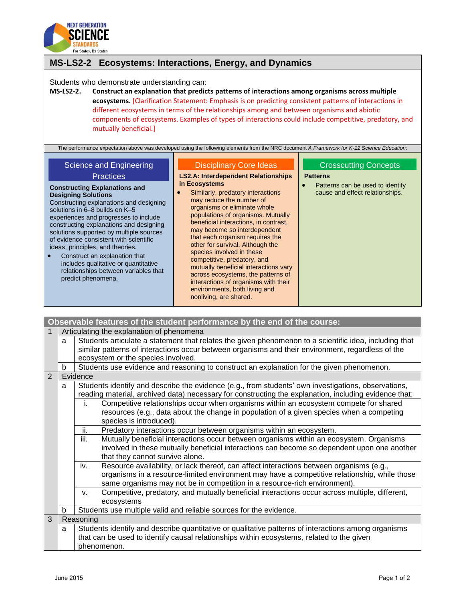

## **MS-LS2-2 Ecosystems: Interactions, Energy, and Dynamics** Students who demonstrate understanding can: **MS-LS2-2. Construct an explanation that predicts patterns of interactions among organisms across multiple ecosystems.** [Clarification Statement: Emphasis is on predicting consistent patterns of interactions in different ecosystems in terms of the relationships among and between organisms and abiotic components of ecosystems. Examples of types of interactions could include competitive, predatory, and mutually beneficial.] The performance expectation above was developed using the following elements from the NRC document *A Framework for K-12 Science Education*: Science and Engineering **Practices Constructing Explanations and Designing Solutions** Constructing explanations and designing solutions in 6–8 builds on K–5 experiences and progresses to include constructing explanations and designing solutions supported by multiple sources of evidence consistent with scientific ideas, principles, and theories. Construct an explanation that includes qualitative or quantitative relationships between variables that predict phenomena. Disciplinary Core Ideas **LS2.A: Interdependent Relationships in Ecosystems •** Similarly, predatory interactions may reduce the number of organisms or eliminate whole populations of organisms. Mutually beneficial interactions, in contrast, may become so interdependent that each organism requires the other for survival. Although the species involved in these competitive, predatory, and mutually beneficial interactions vary across ecosystems, the patterns of interactions of organisms with their environments, both living and Crosscutting Concept[s](http://www.nap.edu/openbook.php?record_id=13165&page=85) **[Patterns](http://www.nap.edu/openbook.php?record_id=13165&page=85)** • Patterns can be used to identify [cause and effect relationships.](http://www.nap.edu/openbook.php?record_id=13165&page=85)

nonliving, are shared.

| Observable features of the student performance by the end of the course: |                                           |                                                                                                                                                                                                                                                                                                                                                                                                                                                                                                                                                                                                                                                                                                                                                                                                                                                          |  |  |
|--------------------------------------------------------------------------|-------------------------------------------|----------------------------------------------------------------------------------------------------------------------------------------------------------------------------------------------------------------------------------------------------------------------------------------------------------------------------------------------------------------------------------------------------------------------------------------------------------------------------------------------------------------------------------------------------------------------------------------------------------------------------------------------------------------------------------------------------------------------------------------------------------------------------------------------------------------------------------------------------------|--|--|
| 1                                                                        | Articulating the explanation of phenomena |                                                                                                                                                                                                                                                                                                                                                                                                                                                                                                                                                                                                                                                                                                                                                                                                                                                          |  |  |
|                                                                          | a                                         | Students articulate a statement that relates the given phenomenon to a scientific idea, including that<br>similar patterns of interactions occur between organisms and their environment, regardless of the<br>ecosystem or the species involved.                                                                                                                                                                                                                                                                                                                                                                                                                                                                                                                                                                                                        |  |  |
|                                                                          | b                                         | Students use evidence and reasoning to construct an explanation for the given phenomenon.                                                                                                                                                                                                                                                                                                                                                                                                                                                                                                                                                                                                                                                                                                                                                                |  |  |
| 2                                                                        |                                           | Evidence                                                                                                                                                                                                                                                                                                                                                                                                                                                                                                                                                                                                                                                                                                                                                                                                                                                 |  |  |
|                                                                          | a                                         | Students identify and describe the evidence (e.g., from students' own investigations, observations,<br>reading material, archived data) necessary for constructing the explanation, including evidence that:<br>Competitive relationships occur when organisms within an ecosystem compete for shared<br>j.<br>resources (e.g., data about the change in population of a given species when a competing<br>species is introduced).<br>ii.<br>Predatory interactions occur between organisms within an ecosystem.<br>iii.<br>Mutually beneficial interactions occur between organisms within an ecosystem. Organisms<br>involved in these mutually beneficial interactions can become so dependent upon one another<br>that they cannot survive alone.<br>iv.<br>Resource availability, or lack thereof, can affect interactions between organisms (e.g., |  |  |
|                                                                          |                                           | organisms in a resource-limited environment may have a competitive relationship, while those<br>same organisms may not be in competition in a resource-rich environment).                                                                                                                                                                                                                                                                                                                                                                                                                                                                                                                                                                                                                                                                                |  |  |
|                                                                          |                                           | Competitive, predatory, and mutually beneficial interactions occur across multiple, different,<br>V.<br>ecosystems                                                                                                                                                                                                                                                                                                                                                                                                                                                                                                                                                                                                                                                                                                                                       |  |  |
|                                                                          | b                                         | Students use multiple valid and reliable sources for the evidence.                                                                                                                                                                                                                                                                                                                                                                                                                                                                                                                                                                                                                                                                                                                                                                                       |  |  |
| 3                                                                        |                                           | Reasoning                                                                                                                                                                                                                                                                                                                                                                                                                                                                                                                                                                                                                                                                                                                                                                                                                                                |  |  |
|                                                                          | a                                         | Students identify and describe quantitative or qualitative patterns of interactions among organisms                                                                                                                                                                                                                                                                                                                                                                                                                                                                                                                                                                                                                                                                                                                                                      |  |  |
|                                                                          |                                           | that can be used to identify causal relationships within ecosystems, related to the given<br>phenomenon.                                                                                                                                                                                                                                                                                                                                                                                                                                                                                                                                                                                                                                                                                                                                                 |  |  |